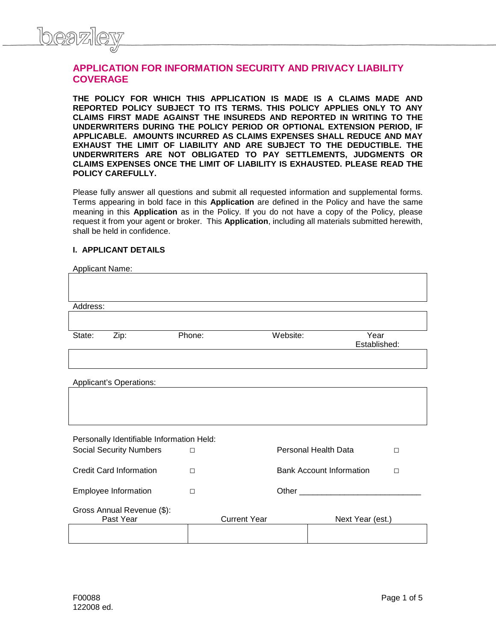

# **APPLICATION FOR INFORMATION SECURITY AND PRIVACY LIABILITY COVERAGE**

**THE POLICY FOR WHICH THIS APPLICATION IS MADE IS A CLAIMS MADE AND REPORTED POLICY SUBJECT TO ITS TERMS. THIS POLICY APPLIES ONLY TO ANY CLAIMS FIRST MADE AGAINST THE INSUREDS AND REPORTED IN WRITING TO THE UNDERWRITERS DURING THE POLICY PERIOD OR OPTIONAL EXTENSION PERIOD, IF APPLICABLE. AMOUNTS INCURRED AS CLAIMS EXPENSES SHALL REDUCE AND MAY EXHAUST THE LIMIT OF LIABILITY AND ARE SUBJECT TO THE DEDUCTIBLE. THE UNDERWRITERS ARE NOT OBLIGATED TO PAY SETTLEMENTS, JUDGMENTS OR CLAIMS EXPENSES ONCE THE LIMIT OF LIABILITY IS EXHAUSTED. PLEASE READ THE POLICY CAREFULLY.**

Please fully answer all questions and submit all requested information and supplemental forms. Terms appearing in bold face in this **Application** are defined in the Policy and have the same meaning in this **Application** as in the Policy. If you do not have a copy of the Policy, please request it from your agent or broker. This **Application**, including all materials submitted herewith, shall be held in confidence.

## **I. APPLICANT DETAILS**

| Applicant Name:                |                                           |        |                      |                                                                                                                                                                                                                                |                  |        |
|--------------------------------|-------------------------------------------|--------|----------------------|--------------------------------------------------------------------------------------------------------------------------------------------------------------------------------------------------------------------------------|------------------|--------|
|                                |                                           |        |                      |                                                                                                                                                                                                                                |                  |        |
|                                |                                           |        |                      |                                                                                                                                                                                                                                |                  |        |
| Address:                       |                                           |        |                      |                                                                                                                                                                                                                                |                  |        |
|                                |                                           |        |                      |                                                                                                                                                                                                                                |                  |        |
| State:                         | Zip:<br>Phone:                            |        |                      | Website:<br>Year<br>Established:                                                                                                                                                                                               |                  |        |
|                                |                                           |        |                      |                                                                                                                                                                                                                                |                  |        |
|                                | Applicant's Operations:                   |        |                      |                                                                                                                                                                                                                                |                  |        |
|                                |                                           |        |                      |                                                                                                                                                                                                                                |                  |        |
|                                |                                           |        |                      |                                                                                                                                                                                                                                |                  |        |
|                                | Personally Identifiable Information Held: |        |                      |                                                                                                                                                                                                                                |                  |        |
| <b>Social Security Numbers</b> |                                           | $\Box$ | Personal Health Data |                                                                                                                                                                                                                                |                  | $\Box$ |
|                                | <b>Credit Card Information</b>            | $\Box$ |                      | <b>Bank Account Information</b><br>$\Box$                                                                                                                                                                                      |                  |        |
|                                | Employee Information                      | $\Box$ |                      | Other the contract of the contract of the contract of the contract of the contract of the contract of the contract of the contract of the contract of the contract of the contract of the contract of the contract of the cont |                  |        |
|                                | Gross Annual Revenue (\$):                |        |                      |                                                                                                                                                                                                                                |                  |        |
|                                | Past Year                                 |        | <b>Current Year</b>  |                                                                                                                                                                                                                                | Next Year (est.) |        |
|                                |                                           |        |                      |                                                                                                                                                                                                                                |                  |        |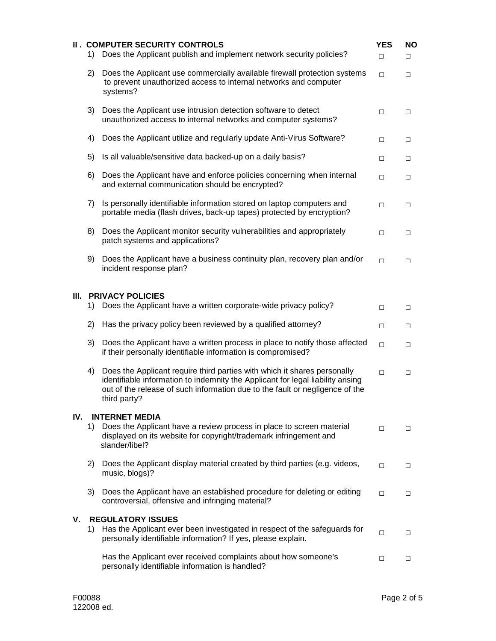|      | 1) | <b>II. COMPUTER SECURITY CONTROLS</b><br>Does the Applicant publish and implement network security policies?                                                                                                                                                | <b>YES</b><br>$\Box$ | <b>NO</b><br>$\Box$ |
|------|----|-------------------------------------------------------------------------------------------------------------------------------------------------------------------------------------------------------------------------------------------------------------|----------------------|---------------------|
|      | 2) | Does the Applicant use commercially available firewall protection systems<br>to prevent unauthorized access to internal networks and computer<br>systems?                                                                                                   | $\Box$               | $\Box$              |
|      | 3) | Does the Applicant use intrusion detection software to detect<br>unauthorized access to internal networks and computer systems?                                                                                                                             | $\Box$               | $\Box$              |
|      | 4) | Does the Applicant utilize and regularly update Anti-Virus Software?                                                                                                                                                                                        | $\Box$               | □                   |
|      | 5) | Is all valuable/sensitive data backed-up on a daily basis?                                                                                                                                                                                                  | $\Box$               | □                   |
|      | 6) | Does the Applicant have and enforce policies concerning when internal<br>and external communication should be encrypted?                                                                                                                                    | $\Box$               | $\Box$              |
|      | 7) | Is personally identifiable information stored on laptop computers and<br>portable media (flash drives, back-up tapes) protected by encryption?                                                                                                              | $\Box$               | $\Box$              |
|      | 8) | Does the Applicant monitor security vulnerabilities and appropriately<br>patch systems and applications?                                                                                                                                                    | □                    | □                   |
|      | 9) | Does the Applicant have a business continuity plan, recovery plan and/or<br>incident response plan?                                                                                                                                                         | $\Box$               | $\Box$              |
| III. |    | <b>PRIVACY POLICIES</b>                                                                                                                                                                                                                                     |                      |                     |
|      | 1) | Does the Applicant have a written corporate-wide privacy policy?                                                                                                                                                                                            | $\Box$               | $\Box$              |
|      | 2) | Has the privacy policy been reviewed by a qualified attorney?                                                                                                                                                                                               | $\Box$               | □                   |
|      | 3) | Does the Applicant have a written process in place to notify those affected<br>if their personally identifiable information is compromised?                                                                                                                 | $\Box$               | □                   |
|      | 4) | Does the Applicant require third parties with which it shares personally<br>identifiable information to indemnity the Applicant for legal liability arising<br>out of the release of such information due to the fault or negligence of the<br>third party? | $\Box$               | $\Box$              |
| IV.  | 1) | <b>INTERNET MEDIA</b><br>Does the Applicant have a review process in place to screen material<br>displayed on its website for copyright/trademark infringement and<br>slander/libel?                                                                        | $\Box$               | $\Box$              |
|      | 2) | Does the Applicant display material created by third parties (e.g. videos,<br>music, blogs)?                                                                                                                                                                | $\Box$               | □                   |
|      | 3) | Does the Applicant have an established procedure for deleting or editing<br>controversial, offensive and infringing material?                                                                                                                               | $\Box$               | $\Box$              |
| ٧.   | 1) | <b>REGULATORY ISSUES</b><br>Has the Applicant ever been investigated in respect of the safeguards for<br>personally identifiable information? If yes, please explain.                                                                                       | $\Box$               | $\Box$              |
|      |    | Has the Applicant ever received complaints about how someone's<br>personally identifiable information is handled?                                                                                                                                           | $\Box$               | □                   |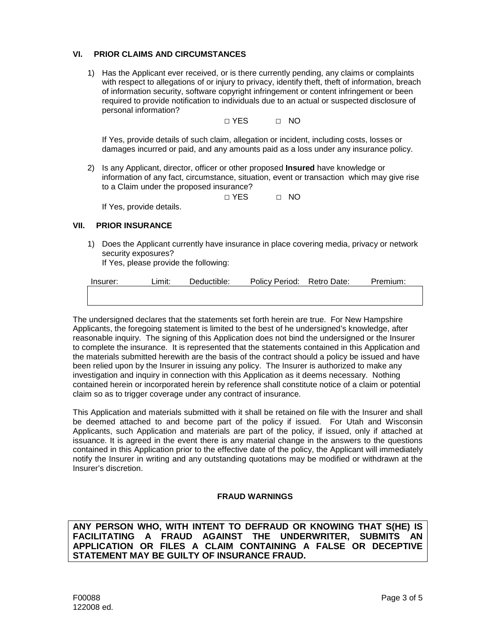### **VI. PRIOR CLAIMS AND CIRCUMSTANCES**

1) Has the Applicant ever received, or is there currently pending, any claims or complaints with respect to allegations of or injury to privacy, identify theft, theft of information, breach of information security, software copyright infringement or content infringement or been required to provide notification to individuals due to an actual or suspected disclosure of personal information?

□ YES □ NO

If Yes, provide details of such claim, allegation or incident, including costs, losses or damages incurred or paid, and any amounts paid as a loss under any insurance policy.

2) Is any Applicant, director, officer or other proposed **Insured** have knowledge or information of any fact, circumstance, situation, event or transaction which may give rise to a Claim under the proposed insurance?

□ YES □ NO

If Yes, provide details.

#### **VII. PRIOR INSURANCE**

1) Does the Applicant currently have insurance in place covering media, privacy or network security exposures?

If Yes, please provide the following:

The undersigned declares that the statements set forth herein are true. For New Hampshire Applicants, the foregoing statement is limited to the best of he undersigned's knowledge, after reasonable inquiry. The signing of this Application does not bind the undersigned or the Insurer to complete the insurance. It is represented that the statements contained in this Application and the materials submitted herewith are the basis of the contract should a policy be issued and have been relied upon by the Insurer in issuing any policy. The Insurer is authorized to make any investigation and inquiry in connection with this Application as it deems necessary. Nothing contained herein or incorporated herein by reference shall constitute notice of a claim or potential claim so as to trigger coverage under any contract of insurance.

This Application and materials submitted with it shall be retained on file with the Insurer and shall be deemed attached to and become part of the policy if issued. For Utah and Wisconsin Applicants, such Application and materials are part of the policy, if issued, only if attached at issuance. It is agreed in the event there is any material change in the answers to the questions contained in this Application prior to the effective date of the policy, the Applicant will immediately notify the Insurer in writing and any outstanding quotations may be modified or withdrawn at the Insurer's discretion.

#### **FRAUD WARNINGS**

**ANY PERSON WHO, WITH INTENT TO DEFRAUD OR KNOWING THAT S(HE) IS FACILITATING A FRAUD AGAINST THE UNDERWRITER, SUBMITS AN APPLICATION OR FILES A CLAIM CONTAINING A FALSE OR DECEPTIVE STATEMENT MAY BE GUILTY OF INSURANCE FRAUD.**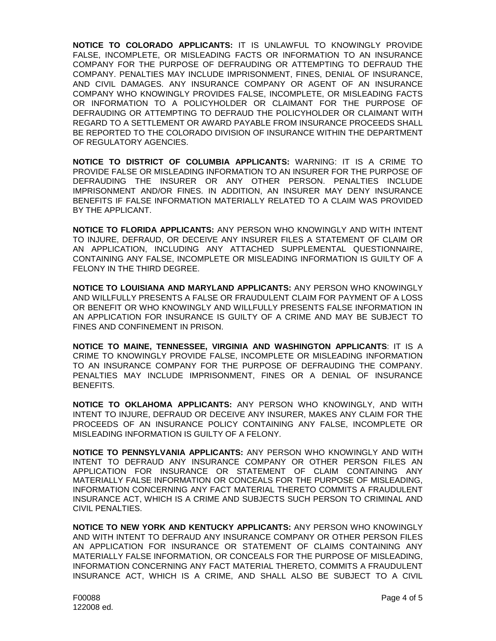**NOTICE TO COLORADO APPLICANTS:** IT IS UNLAWFUL TO KNOWINGLY PROVIDE FALSE, INCOMPLETE, OR MISLEADING FACTS OR INFORMATION TO AN INSURANCE COMPANY FOR THE PURPOSE OF DEFRAUDING OR ATTEMPTING TO DEFRAUD THE COMPANY. PENALTIES MAY INCLUDE IMPRISONMENT, FINES, DENIAL OF INSURANCE, AND CIVIL DAMAGES. ANY INSURANCE COMPANY OR AGENT OF AN INSURANCE COMPANY WHO KNOWINGLY PROVIDES FALSE, INCOMPLETE, OR MISLEADING FACTS OR INFORMATION TO A POLICYHOLDER OR CLAIMANT FOR THE PURPOSE OF DEFRAUDING OR ATTEMPTING TO DEFRAUD THE POLICYHOLDER OR CLAIMANT WITH REGARD TO A SETTLEMENT OR AWARD PAYABLE FROM INSURANCE PROCEEDS SHALL BE REPORTED TO THE COLORADO DIVISION OF INSURANCE WITHIN THE DEPARTMENT OF REGULATORY AGENCIES.

**NOTICE TO DISTRICT OF COLUMBIA APPLICANTS:** WARNING: IT IS A CRIME TO PROVIDE FALSE OR MISLEADING INFORMATION TO AN INSURER FOR THE PURPOSE OF DEFRAUDING THE INSURER OR ANY OTHER PERSON. PENALTIES INCLUDE IMPRISONMENT AND/OR FINES. IN ADDITION, AN INSURER MAY DENY INSURANCE BENEFITS IF FALSE INFORMATION MATERIALLY RELATED TO A CLAIM WAS PROVIDED BY THE APPLICANT.

**NOTICE TO FLORIDA APPLICANTS:** ANY PERSON WHO KNOWINGLY AND WITH INTENT TO INJURE, DEFRAUD, OR DECEIVE ANY INSURER FILES A STATEMENT OF CLAIM OR AN APPLICATION, INCLUDING ANY ATTACHED SUPPLEMENTAL QUESTIONNAIRE, CONTAINING ANY FALSE, INCOMPLETE OR MISLEADING INFORMATION IS GUILTY OF A FELONY IN THE THIRD DEGREE.

**NOTICE TO LOUISIANA AND MARYLAND APPLICANTS:** ANY PERSON WHO KNOWINGLY AND WILLFULLY PRESENTS A FALSE OR FRAUDULENT CLAIM FOR PAYMENT OF A LOSS OR BENEFIT OR WHO KNOWINGLY AND WILLFULLY PRESENTS FALSE INFORMATION IN AN APPLICATION FOR INSURANCE IS GUILTY OF A CRIME AND MAY BE SUBJECT TO FINES AND CONFINEMENT IN PRISON.

**NOTICE TO MAINE, TENNESSEE, VIRGINIA AND WASHINGTON APPLICANTS**: IT IS A CRIME TO KNOWINGLY PROVIDE FALSE, INCOMPLETE OR MISLEADING INFORMATION TO AN INSURANCE COMPANY FOR THE PURPOSE OF DEFRAUDING THE COMPANY. PENALTIES MAY INCLUDE IMPRISONMENT, FINES OR A DENIAL OF INSURANCE **BENEFITS** 

**NOTICE TO OKLAHOMA APPLICANTS:** ANY PERSON WHO KNOWINGLY, AND WITH INTENT TO INJURE, DEFRAUD OR DECEIVE ANY INSURER, MAKES ANY CLAIM FOR THE PROCEEDS OF AN INSURANCE POLICY CONTAINING ANY FALSE, INCOMPLETE OR MISLEADING INFORMATION IS GUILTY OF A FELONY.

**NOTICE TO PENNSYLVANIA APPLICANTS:** ANY PERSON WHO KNOWINGLY AND WITH INTENT TO DEFRAUD ANY INSURANCE COMPANY OR OTHER PERSON FILES AN APPLICATION FOR INSURANCE OR STATEMENT OF CLAIM CONTAINING ANY MATERIALLY FALSE INFORMATION OR CONCEALS FOR THE PURPOSE OF MISLEADING, INFORMATION CONCERNING ANY FACT MATERIAL THERETO COMMITS A FRAUDULENT INSURANCE ACT, WHICH IS A CRIME AND SUBJECTS SUCH PERSON TO CRIMINAL AND CIVIL PENALTIES.

**NOTICE TO NEW YORK AND KENTUCKY APPLICANTS:** ANY PERSON WHO KNOWINGLY AND WITH INTENT TO DEFRAUD ANY INSURANCE COMPANY OR OTHER PERSON FILES AN APPLICATION FOR INSURANCE OR STATEMENT OF CLAIMS CONTAINING ANY MATERIALLY FALSE INFORMATION, OR CONCEALS FOR THE PURPOSE OF MISLEADING, INFORMATION CONCERNING ANY FACT MATERIAL THERETO, COMMITS A FRAUDULENT INSURANCE ACT, WHICH IS A CRIME, AND SHALL ALSO BE SUBJECT TO A CIVIL